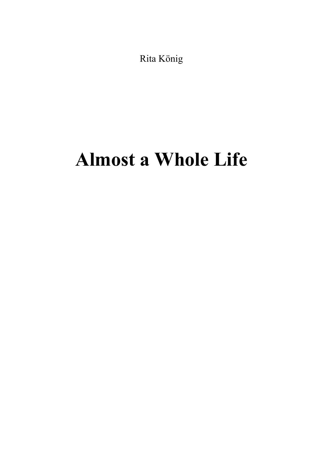Rita König

## Almost a Whole Life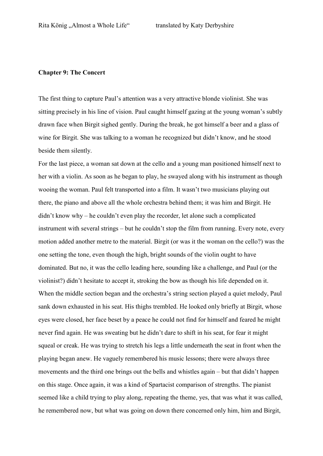## Chapter 9: The Concert

The first thing to capture Paul's attention was a very attractive blonde violinist. She was sitting precisely in his line of vision. Paul caught himself gazing at the young woman's subtly drawn face when Birgit sighed gently. During the break, he got himself a beer and a glass of wine for Birgit. She was talking to a woman he recognized but didn't know, and he stood beside them silently.

For the last piece, a woman sat down at the cello and a young man positioned himself next to her with a violin. As soon as he began to play, he swayed along with his instrument as though wooing the woman. Paul felt transported into a film. It wasn't two musicians playing out there, the piano and above all the whole orchestra behind them; it was him and Birgit. He didn't know why – he couldn't even play the recorder, let alone such a complicated instrument with several strings – but he couldn't stop the film from running. Every note, every motion added another metre to the material. Birgit (or was it the woman on the cello?) was the one setting the tone, even though the high, bright sounds of the violin ought to have dominated. But no, it was the cello leading here, sounding like a challenge, and Paul (or the violinist?) didn't hesitate to accept it, stroking the bow as though his life depended on it. When the middle section began and the orchestra's string section played a quiet melody, Paul sank down exhausted in his seat. His thighs trembled. He looked only briefly at Birgit, whose eyes were closed, her face beset by a peace he could not find for himself and feared he might never find again. He was sweating but he didn't dare to shift in his seat, for fear it might squeal or creak. He was trying to stretch his legs a little underneath the seat in front when the playing began anew. He vaguely remembered his music lessons; there were always three movements and the third one brings out the bells and whistles again – but that didn't happen on this stage. Once again, it was a kind of Spartacist comparison of strengths. The pianist seemed like a child trying to play along, repeating the theme, yes, that was what it was called, he remembered now, but what was going on down there concerned only him, him and Birgit,